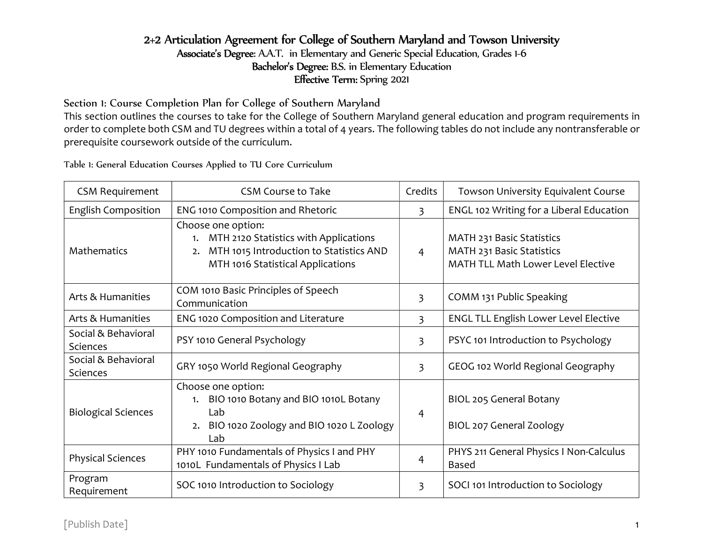# 2+2 Articulation Agreement for College of Southern Maryland and Towson University

Associate's Degree: A.A.T. in Elementary and Generic Special Education, Grades 1-6 Bachelor's Degree: B.S. in Elementary Education Effective Term: Spring 2021

Section 1: Course Completion Plan for College of Southern Maryland

This section outlines the courses to take for the College of Southern Maryland general education and program requirements in order to complete both CSM and TU degrees within a total of 4 years. The following tables do not include any nontransferable or prerequisite coursework outside of the curriculum.

Table 1: General Education Courses Applied to TU Core Curriculum

| <b>CSM Requirement</b>          | <b>CSM Course to Take</b>                                                                                                                               | Credits        | Towson University Equivalent Course                                                                 |
|---------------------------------|---------------------------------------------------------------------------------------------------------------------------------------------------------|----------------|-----------------------------------------------------------------------------------------------------|
| <b>English Composition</b>      | ENG 1010 Composition and Rhetoric                                                                                                                       | 3              | ENGL 102 Writing for a Liberal Education                                                            |
| Mathematics                     | Choose one option:<br>MTH 2120 Statistics with Applications<br>1.<br>MTH 1015 Introduction to Statistics AND<br>2.<br>MTH 1016 Statistical Applications | $\overline{4}$ | MATH 231 Basic Statistics<br>MATH 231 Basic Statistics<br><b>MATH TLL Math Lower Level Elective</b> |
| Arts & Humanities               | COM 1010 Basic Principles of Speech<br>Communication                                                                                                    | 3              | COMM 131 Public Speaking                                                                            |
| Arts & Humanities               | ENG 1020 Composition and Literature                                                                                                                     | 3              | <b>ENGL TLL English Lower Level Elective</b>                                                        |
| Social & Behavioral<br>Sciences | PSY 1010 General Psychology                                                                                                                             | 3              | PSYC 101 Introduction to Psychology                                                                 |
| Social & Behavioral<br>Sciences | GRY 1050 World Regional Geography                                                                                                                       | $\overline{3}$ | GEOG 102 World Regional Geography                                                                   |
| <b>Biological Sciences</b>      | Choose one option:<br>BIO 1010 Botany and BIO 1010L Botany<br>Lab<br>BIO 1020 Zoology and BIO 1020 L Zoology<br>2.<br>Lab                               | $\overline{4}$ | BIOL 205 General Botany<br>BIOL 207 General Zoology                                                 |
| <b>Physical Sciences</b>        | PHY 1010 Fundamentals of Physics I and PHY<br>1010L Fundamentals of Physics I Lab                                                                       | 4              | PHYS 211 General Physics I Non-Calculus<br><b>Based</b>                                             |
| Program<br>Requirement          | SOC 1010 Introduction to Sociology                                                                                                                      | 3              | SOCI 101 Introduction to Sociology                                                                  |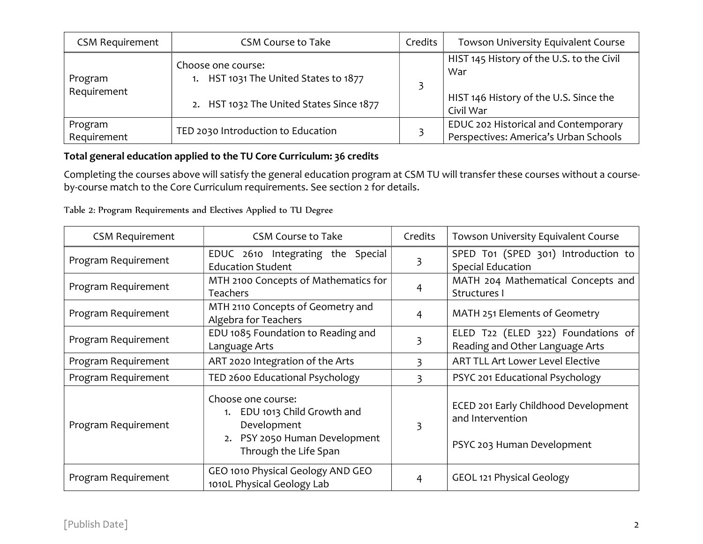| <b>CSM Requirement</b> | <b>CSM Course to Take</b>                                   | Credits | Towson University Equivalent Course                                           |
|------------------------|-------------------------------------------------------------|---------|-------------------------------------------------------------------------------|
| Program<br>Requirement | Choose one course:<br>1. HST 1031 The United States to 1877 |         | HIST 145 History of the U.S. to the Civil<br>War                              |
|                        | 2. HST 1032 The United States Since 1877                    |         | HIST 146 History of the U.S. Since the<br>Civil War                           |
| Program<br>Requirement | TED 2030 Introduction to Education                          |         | EDUC 202 Historical and Contemporary<br>Perspectives: America's Urban Schools |

### Total general education applied to the TU Core Curriculum: 36 credits

Completing the courses above will satisfy the general education program at CSM TU will transfer these courses without a courseby-course match to the Core Curriculum requirements. See section 2 for details.

| <b>CSM Requirement</b> | <b>CSM Course to Take</b>                                                                                                | Credits | <b>Towson University Equivalent Course</b>                                             |
|------------------------|--------------------------------------------------------------------------------------------------------------------------|---------|----------------------------------------------------------------------------------------|
| Program Requirement    | EDUC 2610 Integrating the Special<br><b>Education Student</b>                                                            | 3       | SPED T01 (SPED 301) Introduction to<br><b>Special Education</b>                        |
| Program Requirement    | MTH 2100 Concepts of Mathematics for<br><b>Teachers</b>                                                                  | 4       | MATH 204 Mathematical Concepts and<br>Structures I                                     |
| Program Requirement    | MTH 2110 Concepts of Geometry and<br>Algebra for Teachers                                                                | 4       | MATH 251 Elements of Geometry                                                          |
| Program Requirement    | EDU 1085 Foundation to Reading and<br>Language Arts                                                                      | 3       | ELED T22 (ELED 322) Foundations of<br>Reading and Other Language Arts                  |
| Program Requirement    | ART 2020 Integration of the Arts                                                                                         | 3       | <b>ART TLL Art Lower Level Elective</b>                                                |
| Program Requirement    | TED 2600 Educational Psychology                                                                                          | 3       | PSYC 201 Educational Psychology                                                        |
| Program Requirement    | Choose one course:<br>EDU 1013 Child Growth and<br>Development<br>2. PSY 2050 Human Development<br>Through the Life Span | 3       | ECED 201 Early Childhood Development<br>and Intervention<br>PSYC 203 Human Development |
| Program Requirement    | GEO 1010 Physical Geology AND GEO<br>1010L Physical Geology Lab                                                          | 4       | <b>GEOL 121 Physical Geology</b>                                                       |

Table 2: Program Requirements and Electives Applied to TU Degree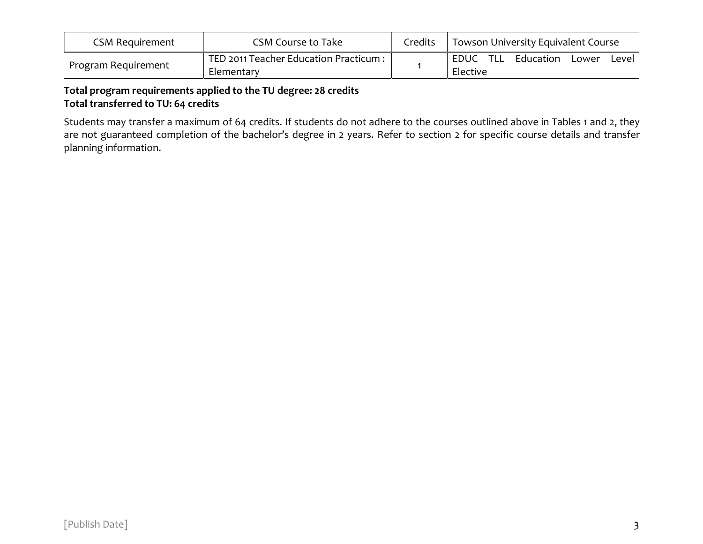| CSM Reguirement     | CSM Course to Take                                  | Credits | Towson University Equivalent Course                      |  |
|---------------------|-----------------------------------------------------|---------|----------------------------------------------------------|--|
| Program Requirement | TED 2011 Teacher Education Practicum:<br>Elementary |         | - TLL<br>Education<br>EDUC<br>Lower<br>Level<br>Elective |  |

# Total program requirements applied to the TU degree: 28 credits Total transferred to TU: 64 credits

Students may transfer a maximum of 64 credits. If students do not adhere to the courses outlined above in Tables 1 and 2, they are not guaranteed completion of the bachelor's degree in 2 years. Refer to section 2 for specific course details and transfer planning information.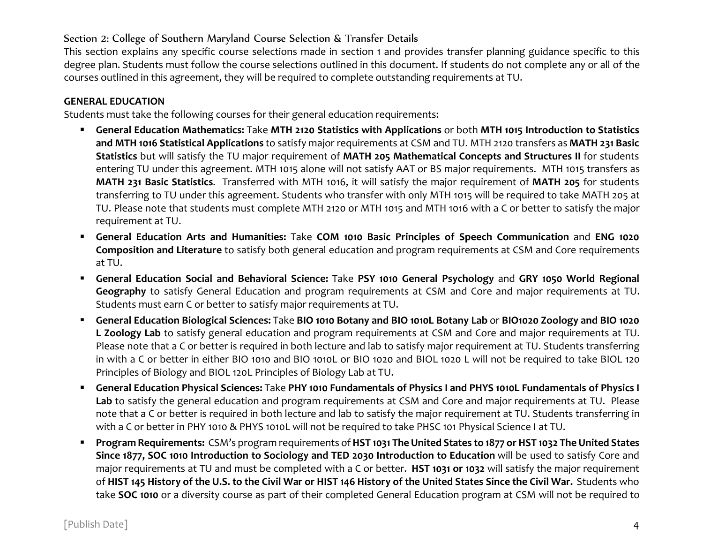## Section 2: College of Southern Maryland Course Selection & Transfer Details

This section explains any specific course selections made in section 1 and provides transfer planning guidance specific to this degree plan. Students must follow the course selections outlined in this document. If students do not complete any or all of the courses outlined in this agreement, they will be required to complete outstanding requirements at TU.

#### GENERAL EDUCATION

Students must take the following courses for their general education requirements:

- General Education Mathematics: Take MTH 2120 Statistics with Applications or both MTH 1015 Introduction to Statistics and MTH 1016 Statistical Applications to satisfy major requirements at CSM and TU. MTH 2120 transfers as MATH 231 Basic Statistics but will satisfy the TU major requirement of MATH 205 Mathematical Concepts and Structures II for students entering TU under this agreement. MTH 1015 alone will not satisfy AAT or BS major requirements. MTH 1015 transfers as MATH 231 Basic Statistics. Transferred with MTH 1016, it will satisfy the major requirement of MATH 205 for students transferring to TU under this agreement. Students who transfer with only MTH 1015 will be required to take MATH 205 at TU. Please note that students must complete MTH 2120 or MTH 1015 and MTH 1016 with a C or better to satisfy the major requirement at TU.
- General Education Arts and Humanities: Take COM 1010 Basic Principles of Speech Communication and ENG 1020 Composition and Literature to satisfy both general education and program requirements at CSM and Core requirements at TU.
- General Education Social and Behavioral Science: Take PSY 1010 General Psychology and GRY 1050 World Regional Geography to satisfy General Education and program requirements at CSM and Core and major requirements at TU. Students must earn C or better to satisfy major requirements at TU.
- General Education Biological Sciences: Take BIO 1010 Botany and BIO 1010L Botany Lab or BIO1020 Zoology and BIO 1020 L Zoology Lab to satisfy general education and program requirements at CSM and Core and major requirements at TU. Please note that a C or better is required in both lecture and lab to satisfy major requirement at TU. Students transferring in with a C or better in either BIO 1010 and BIO 1010L or BIO 1020 and BIOL 1020 L will not be required to take BIOL 120 Principles of Biology and BIOL 120L Principles of Biology Lab at TU.
- General Education Physical Sciences: Take PHY 1010 Fundamentals of Physics I and PHYS 1010L Fundamentals of Physics I Lab to satisfy the general education and program requirements at CSM and Core and major requirements at TU. Please note that a C or better is required in both lecture and lab to satisfy the major requirement at TU. Students transferring in with a C or better in PHY 1010 & PHYS 1010L will not be required to take PHSC 101 Physical Science I at TU.
- Program Requirements: CSM's program requirements of HST 1031 The United States to 1877 or HST 1032 The United States Since 1877, SOC 1010 Introduction to Sociology and TED 2030 Introduction to Education will be used to satisfy Core and major requirements at TU and must be completed with a C or better. HST 1031 or 1032 will satisfy the major requirement of HIST 145 History of the U.S. to the Civil War or HIST 146 History of the United States Since the Civil War. Students who take SOC 1010 or a diversity course as part of their completed General Education program at CSM will not be required to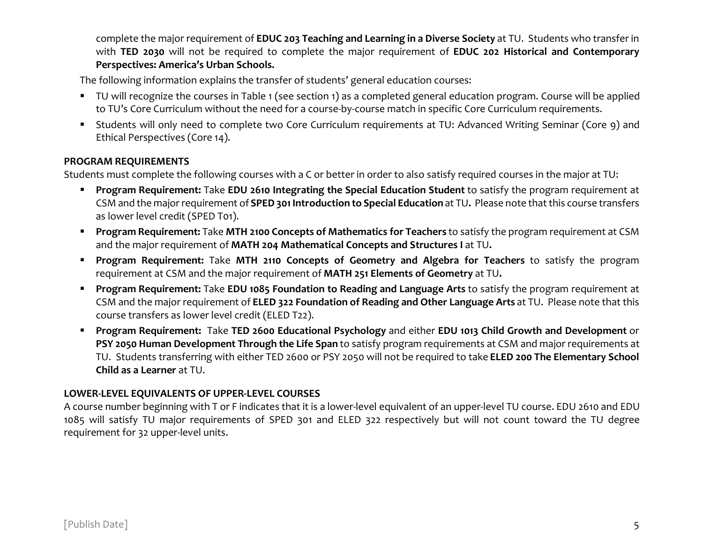complete the major requirement of EDUC 203 Teaching and Learning in a Diverse Society at TU. Students who transfer in with TED 2030 will not be required to complete the major requirement of EDUC 202 Historical and Contemporary Perspectives: America's Urban Schools.

The following information explains the transfer of students' general education courses:

- TU will recognize the courses in Table 1 (see section 1) as a completed general education program. Course will be applied to TU's Core Curriculum without the need for a course-by-course match in specific Core Curriculum requirements.
- Students will only need to complete two Core Curriculum requirements at TU: Advanced Writing Seminar (Core 9) and Ethical Perspectives (Core 14).

#### PROGRAM REQUIREMENTS

Students must complete the following courses with a C or better in order to also satisfy required courses in the major at TU:

- **Program Requirement:** Take EDU 2610 Integrating the Special Education Student to satisfy the program requirement at CSM and the major requirement of SPED 301 Introduction to Special Education at TU. Please note that this course transfers as lower level credit (SPED T01).
- **Program Requirement:** Take MTH 2100 Concepts of Mathematics for Teachers to satisfy the program requirement at CSM and the major requirement of MATH 204 Mathematical Concepts and Structures I at TU.
- **Program Requirement:** Take MTH 2110 Concepts of Geometry and Algebra for Teachers to satisfy the program requirement at CSM and the major requirement of MATH 251 Elements of Geometry at TU.
- **Program Requirement:** Take EDU 1085 Foundation to Reading and Language Arts to satisfy the program requirement at CSM and the major requirement of ELED 322 Foundation of Reading and Other Language Arts at TU. Please note that this course transfers as lower level credit (ELED T22).
- Program Requirement: Take TED 2600 Educational Psychology and either EDU 1013 Child Growth and Development or PSY 2050 Human Development Through the Life Span to satisfy program requirements at CSM and major requirements at TU. Students transferring with either TED 2600 or PSY 2050 will not be required to take ELED 200 The Elementary School Child as a Learner at TU.

#### LOWER-LEVEL EQUIVALENTS OF UPPER-LEVEL COURSES

A course number beginning with T or F indicates that it is a lower-level equivalent of an upper-level TU course. EDU 2610 and EDU 1085 will satisfy TU major requirements of SPED 301 and ELED 322 respectively but will not count toward the TU degree requirement for 32 upper-level units.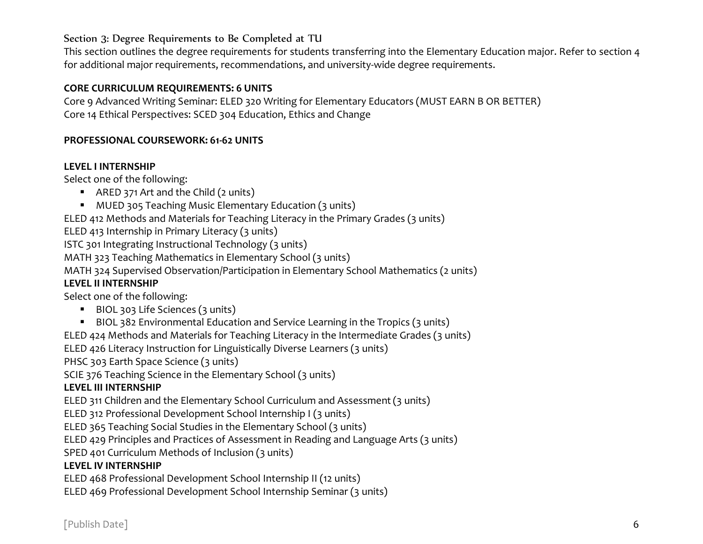## Section 3: Degree Requirements to Be Completed at TU

This section outlines the degree requirements for students transferring into the Elementary Education major. Refer to section 4 for additional major requirements, recommendations, and university-wide degree requirements.

#### CORE CURRICULUM REQUIREMENTS: 6 UNITS

Core 9 Advanced Writing Seminar: ELED 320 Writing for Elementary Educators (MUST EARN B OR BETTER) Core 14 Ethical Perspectives: SCED 304 Education, Ethics and Change

#### PROFESSIONAL COURSEWORK: 61-62 UNITS

#### LEVEL I INTERNSHIP

Select one of the following:

- ARED 371 Art and the Child (2 units)
- MUED 305 Teaching Music Elementary Education (3 units)

ELED 412 Methods and Materials for Teaching Literacy in the Primary Grades (3 units)

ELED 413 Internship in Primary Literacy (3 units)

ISTC 301 Integrating Instructional Technology (3 units)

MATH 323 Teaching Mathematics in Elementary School (3 units)

MATH 324 Supervised Observation/Participation in Elementary School Mathematics (2 units)

### LEVEL II INTERNSHIP

Select one of the following:

- BIOL 303 Life Sciences (3 units)
- BIOL 382 Environmental Education and Service Learning in the Tropics (3 units)

ELED 424 Methods and Materials for Teaching Literacy in the Intermediate Grades (3 units)

ELED 426 Literacy Instruction for Linguistically Diverse Learners (3 units)

PHSC 303 Earth Space Science (3 units)

SCIE 376 Teaching Science in the Elementary School (3 units)

# LEVEL III INTERNSHIP

ELED 311 Children and the Elementary School Curriculum and Assessment (3 units)

ELED 312 Professional Development School Internship I (3 units)

ELED 365 Teaching Social Studies in the Elementary School (3 units)

ELED 429 Principles and Practices of Assessment in Reading and Language Arts (3 units)

SPED 401 Curriculum Methods of Inclusion (3 units)

# LEVEL IV INTERNSHIP

ELED 468 Professional Development School Internship II (12 units)

ELED 469 Professional Development School Internship Seminar (3 units)